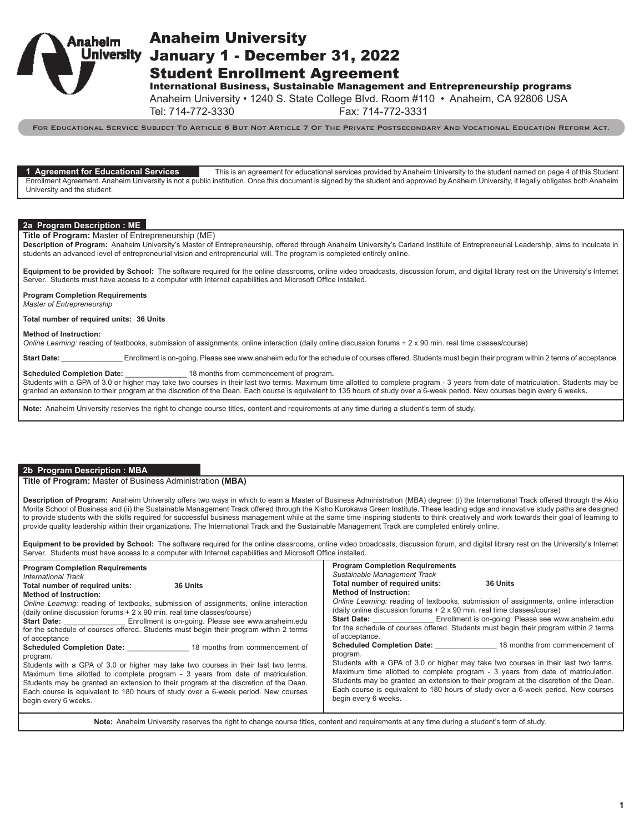

# Anaheim University **Jniversity January 1 - December 31, 2022** Student Enrollment Agreement

International Business, Sustainable Management and Entrepreneurship programs

Anaheim University • 1240 S. State College Blvd. Room #110 • Anaheim, CA 92806 USA

Tel: 714-772-3330 Fax: 714-772-3331

For Educational Service Subject To Article 6 But Not Article 7 Of The Private Postsecondary And Vocational Education Reform Act.

**1 Agreement for Educational Services** This is an agreement for educational services provided by Anaheim University to the student named on page 4 of this Student Enrollment Agreement. Anaheim University is not a public institution. Once this document is signed by the student and approved by Anaheim University, it legally obligates both Anaheim University and the student.

## **2a Program Description : ME**

**Title of Program:** Master of Entrepreneurship (ME)

**Description of Program:** Anaheim University's Master of Entrepreneurship, offered through Anaheim University's Carland Institute of Entrepreneurial Leadership, aims to inculcate in students an advanced level of entrepreneurial vision and entrepreneurial will. The program is completed entirely online.

**Equipment to be provided by School:** The software required for the online classrooms, online video broadcasts, discussion forum, and digital library rest on the University's Internet Server. Students must have access to a computer with Internet capabilities and Microsoft Office installed.

## **Program Completion Requirements**

*Master of Entrepreneurship*

## **Total number of required units: 36 Units**

#### **Method of Instruction:**

*Online Learning:* reading of textbooks, submission of assignments, online interaction (daily online discussion forums + 2 x 90 min. real time classes/course)

Start Date: \_\_\_\_\_\_\_\_\_\_\_\_\_\_\_\_\_\_Enrollment is on-going. Please see www.anaheim.edu for the schedule of courses offered. Students must begin their program within 2 terms of acceptance.

### **Scheduled Completion Date:** \_\_\_\_\_\_\_\_\_\_\_\_\_\_\_\_\_\_ 18 months from commencement of program.

Students with a GPA of 3.0 or higher may take two courses in their last two terms. Maximum time allotted to complete program - 3 years from date of matriculation. Students may be granted an extension to their program at the discretion of the Dean. Each course is equivalent to 135 hours of study over a 6-week period. New courses begin every 6 weeks**.**

**Note:** Anaheim University reserves the right to change course titles, content and requirements at any time during a student's term of study.

## **2b Program Description : MBA**

### **Title of Program:** Master of Business Administration **(MBA)**

**Description of Program:** Anaheim University offers two ways in which to earn a Master of Business Administration (MBA) degree: (i) the International Track offered through the Akio Morita School of Business and (ii) the Sustainable Management Track offered through the Kisho Kurokawa Green Institute. These leading edge and innovative study paths are designed to provide students with the skills required for successful business management while at the same time inspiring students to think creatively and work towards their goal of learning to provide quality leadership within their organizations. The International Track and the Sustainable Management Track are completed entirely online.

**Equipment to be provided by School:** The software required for the online classrooms, online video broadcasts, discussion forum, and digital library rest on the University's Internet Server. Students must have access to a computer with Internet capabilities and Microsoft Office installed.

| <b>Program Completion Requirements</b>                                                | <b>Program Completion Requirements</b>                                                |
|---------------------------------------------------------------------------------------|---------------------------------------------------------------------------------------|
| <b>International Track</b>                                                            | Sustainable Management Track                                                          |
| Total number of required units:                                                       | Total number of required units:                                                       |
| 36 Units                                                                              | <b>36 Units</b>                                                                       |
| <b>Method of Instruction:</b>                                                         | <b>Method of Instruction:</b>                                                         |
| Online Learning: reading of textbooks, submission of assignments, online interaction  | Online Learning: reading of textbooks, submission of assignments, online interaction  |
| (daily online discussion forums + 2 x 90 min. real time classes/course)               | (daily online discussion forums + 2 x 90 min. real time classes/course)               |
| Start Date: ___________________ Enrollment is on-going. Please see www.anaheim.edu    | <b>Start Date:</b> Enrollment is on-going. Please see www.anaheim.edu                 |
| for the schedule of courses offered. Students must begin their program within 2 terms | for the schedule of courses offered. Students must begin their program within 2 terms |
| of acceptance                                                                         | of acceptance.                                                                        |
| <b>Scheduled Completion Date:</b> 18 months from commencement of                      | <b>Scheduled Completion Date:</b> 18 months from commencement of                      |
| program.                                                                              | program.                                                                              |
| Students with a GPA of 3.0 or higher may take two courses in their last two terms.    | Students with a GPA of 3.0 or higher may take two courses in their last two terms.    |
| Maximum time allotted to complete program - 3 years from date of matriculation.       | Maximum time allotted to complete program - 3 years from date of matriculation.       |
| Students may be granted an extension to their program at the discretion of the Dean.  | Students may be granted an extension to their program at the discretion of the Dean.  |
| Each course is equivalent to 180 hours of study over a 6-week period. New courses     | Each course is equivalent to 180 hours of study over a 6-week period. New courses     |
| begin every 6 weeks.                                                                  | begin every 6 weeks.                                                                  |
|                                                                                       |                                                                                       |

**Note:** Anaheim University reserves the right to change course titles, content and requirements at any time during a student's term of study.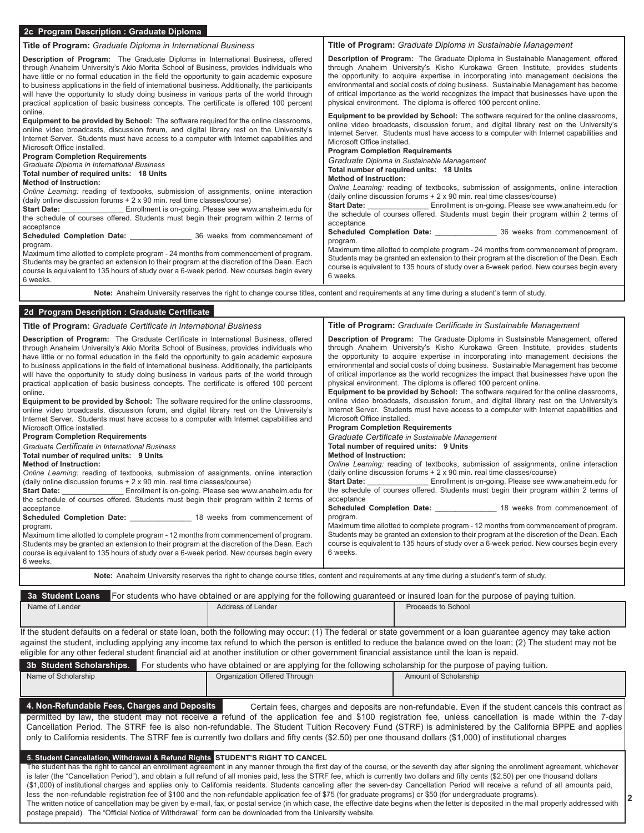| 2c Program Description: Graduate Diploma                                                                                                                                                                                                                                                                                                                                                                                                                                                                                                                                                                                                                                                                                                                                                                                                                                                                                                                                                                                                                                                                                                                |                                                                                                                                                                                                                                                                                                                                                                                                                                                                                                                                                                                                                                                                                                                                                                                                                                                                                                                                                                                                                                                                                                                                                                                                                                                      |
|---------------------------------------------------------------------------------------------------------------------------------------------------------------------------------------------------------------------------------------------------------------------------------------------------------------------------------------------------------------------------------------------------------------------------------------------------------------------------------------------------------------------------------------------------------------------------------------------------------------------------------------------------------------------------------------------------------------------------------------------------------------------------------------------------------------------------------------------------------------------------------------------------------------------------------------------------------------------------------------------------------------------------------------------------------------------------------------------------------------------------------------------------------|------------------------------------------------------------------------------------------------------------------------------------------------------------------------------------------------------------------------------------------------------------------------------------------------------------------------------------------------------------------------------------------------------------------------------------------------------------------------------------------------------------------------------------------------------------------------------------------------------------------------------------------------------------------------------------------------------------------------------------------------------------------------------------------------------------------------------------------------------------------------------------------------------------------------------------------------------------------------------------------------------------------------------------------------------------------------------------------------------------------------------------------------------------------------------------------------------------------------------------------------------|
| Title of Program: Graduate Diploma in International Business                                                                                                                                                                                                                                                                                                                                                                                                                                                                                                                                                                                                                                                                                                                                                                                                                                                                                                                                                                                                                                                                                            | Title of Program: Graduate Diploma in Sustainable Management                                                                                                                                                                                                                                                                                                                                                                                                                                                                                                                                                                                                                                                                                                                                                                                                                                                                                                                                                                                                                                                                                                                                                                                         |
| Description of Program: The Graduate Diploma in International Business, offered<br>through Anaheim University's Akio Morita School of Business, provides individuals who<br>have little or no formal education in the field the opportunity to gain academic exposure<br>to business applications in the field of international business. Additionally, the participants<br>will have the opportunity to study doing business in various parts of the world through<br>practical application of basic business concepts. The certificate is offered 100 percent                                                                                                                                                                                                                                                                                                                                                                                                                                                                                                                                                                                         | Description of Program: The Graduate Diploma in Sustainable Management, offered<br>through Anaheim University's Kisho Kurokawa Green Institute, provides students<br>the opportunity to acquire expertise in incorporating into management decisions the<br>environmental and social costs of doing business. Sustainable Management has become<br>of critical importance as the world recognizes the impact that businesses have upon the<br>physical environment. The diploma is offered 100 percent online.                                                                                                                                                                                                                                                                                                                                                                                                                                                                                                                                                                                                                                                                                                                                       |
| online.<br>Equipment to be provided by School: The software required for the online classrooms,<br>online video broadcasts, discussion forum, and digital library rest on the University's<br>Internet Server. Students must have access to a computer with Internet capabilities and<br>Microsoft Office installed.<br><b>Program Completion Requirements</b><br>Graduate Diploma in International Business<br>Total number of required units: 18 Units<br><b>Method of Instruction:</b><br>Online Learning: reading of textbooks, submission of assignments, online interaction<br>(daily online discussion forums + 2 x 90 min. real time classes/course)<br><b>Start Date:</b> Enrollment is on-going. Please see www.anaheim.edu for<br>the schedule of courses offered. Students must begin their program within 2 terms of<br>acceptance<br>program.<br>Maximum time allotted to complete program - 24 months from commencement of program.<br>Students may be granted an extension to their program at the discretion of the Dean. Each<br>course is equivalent to 135 hours of study over a 6-week period. New courses begin every<br>6 weeks. | Equipment to be provided by School: The software required for the online classrooms,<br>online video broadcasts, discussion forum, and digital library rest on the University's<br>Internet Server. Students must have access to a computer with Internet capabilities and<br>Microsoft Office installed.<br><b>Program Completion Requirements</b><br>Graduate Diploma in Sustainable Management<br>Total number of required units: 18 Units<br><b>Method of Instruction:</b><br>Online Learning: reading of textbooks, submission of assignments, online interaction<br>(daily online discussion forums $+2 \times 90$ min. real time classes/course)<br>Start Date: ___________________ Enrollment is on-going. Please see www.anaheim.edu for<br>the schedule of courses offered. Students must begin their program within 2 terms of<br>acceptance<br>Scheduled Completion Date: ________________________ 36 weeks from commencement of<br>program.<br>Maximum time allotted to complete program - 24 months from commencement of program.<br>Students may be granted an extension to their program at the discretion of the Dean. Each<br>course is equivalent to 135 hours of study over a 6-week period. New courses begin every<br>6 weeks. |
| Note: Anaheim University reserves the right to change course titles, content and requirements at any time during a student's term of study.                                                                                                                                                                                                                                                                                                                                                                                                                                                                                                                                                                                                                                                                                                                                                                                                                                                                                                                                                                                                             |                                                                                                                                                                                                                                                                                                                                                                                                                                                                                                                                                                                                                                                                                                                                                                                                                                                                                                                                                                                                                                                                                                                                                                                                                                                      |
| 2d Program Description : Graduate Certificate                                                                                                                                                                                                                                                                                                                                                                                                                                                                                                                                                                                                                                                                                                                                                                                                                                                                                                                                                                                                                                                                                                           |                                                                                                                                                                                                                                                                                                                                                                                                                                                                                                                                                                                                                                                                                                                                                                                                                                                                                                                                                                                                                                                                                                                                                                                                                                                      |
| Title of Program: Graduate Certificate in International Business                                                                                                                                                                                                                                                                                                                                                                                                                                                                                                                                                                                                                                                                                                                                                                                                                                                                                                                                                                                                                                                                                        | Title of Program: Graduate Certificate in Sustainable Management                                                                                                                                                                                                                                                                                                                                                                                                                                                                                                                                                                                                                                                                                                                                                                                                                                                                                                                                                                                                                                                                                                                                                                                     |

| Description of Program: The Graduate Certificate in International Business, offered<br>through Anaheim University's Akio Morita School of Business, provides individuals who<br>have little or no formal education in the field the opportunity to gain academic exposure<br>to business applications in the field of international business. Additionally, the participants<br>will have the opportunity to study doing business in various parts of the world through<br>practical application of basic business concepts. The certificate is offered 100 percent<br>online.<br><b>Equipment to be provided by School:</b> The software required for the online classrooms,<br>online video broadcasts, discussion forum, and digital library rest on the University's<br>Internet Server. Students must have access to a computer with Internet capabilities and<br>Microsoft Office installed.<br><b>Program Completion Requirements</b><br>l Graduate Certificate in International Business | <b>Description of Program:</b> The Graduate Diploma in Sustainable Management, offered<br>through Anaheim University's Kisho Kurokawa Green Institute, provides students<br>the opportunity to acquire expertise in incorporating into management decisions the<br>environmental and social costs of doing business. Sustainable Management has become<br>of critical importance as the world recognizes the impact that businesses have upon the<br>physical environment. The diploma is offered 100 percent online.<br><b>Equipment to be provided by School:</b> The software required for the online classrooms,<br>online video broadcasts, discussion forum, and digital library rest on the University's<br>Internet Server. Students must have access to a computer with Internet capabilities and<br>Microsoft Office installed.<br><b>Program Completion Requirements</b><br>Graduate Certificate in Sustainable Management<br>Total number of required units: 9 Units |
|--------------------------------------------------------------------------------------------------------------------------------------------------------------------------------------------------------------------------------------------------------------------------------------------------------------------------------------------------------------------------------------------------------------------------------------------------------------------------------------------------------------------------------------------------------------------------------------------------------------------------------------------------------------------------------------------------------------------------------------------------------------------------------------------------------------------------------------------------------------------------------------------------------------------------------------------------------------------------------------------------|----------------------------------------------------------------------------------------------------------------------------------------------------------------------------------------------------------------------------------------------------------------------------------------------------------------------------------------------------------------------------------------------------------------------------------------------------------------------------------------------------------------------------------------------------------------------------------------------------------------------------------------------------------------------------------------------------------------------------------------------------------------------------------------------------------------------------------------------------------------------------------------------------------------------------------------------------------------------------------|
| Total number of required units: 9 Units                                                                                                                                                                                                                                                                                                                                                                                                                                                                                                                                                                                                                                                                                                                                                                                                                                                                                                                                                          | <b>Method of Instruction:</b>                                                                                                                                                                                                                                                                                                                                                                                                                                                                                                                                                                                                                                                                                                                                                                                                                                                                                                                                                    |
| Method of Instruction:<br>Online Learning: reading of textbooks, submission of assignments, online interaction<br>(daily online discussion forums + 2 x 90 min. real time classes/course)<br><b>Start Date:</b> Enrollment is on-going. Please see www.anaheim.edu for<br>the schedule of courses offered. Students must begin their program within 2 terms of<br>acceptance<br>Scheduled Completion Date: 18 weeks from commencement of<br>program.<br>Maximum time allotted to complete program - 12 months from commencement of program.<br>Students may be granted an extension to their program at the discretion of the Dean. Each<br>course is equivalent to 135 hours of study over a 6-week period. New courses begin every<br>6 weeks.                                                                                                                                                                                                                                                 | Online Learning: reading of textbooks, submission of assignments, online interaction<br>(daily online discussion forums $+2 \times 90$ min. real time classes/course)<br><b>Start Date:</b> Enrollment is on-going. Please see www.anaheim.edu for<br>the schedule of courses offered. Students must begin their program within 2 terms of<br>acceptance<br>Scheduled Completion Date: 18 weeks from commencement of<br>program.<br>Maximum time allotted to complete program - 12 months from commencement of program.<br>Students may be granted an extension to their program at the discretion of the Dean. Each<br>course is equivalent to 135 hours of study over a 6-week period. New courses begin every<br>6 weeks.                                                                                                                                                                                                                                                     |

**Note:** Anaheim University reserves the right to change course titles, content and requirements at any time during a student's term of study.

|                | 3a Student Loans For students who have obtained or are applying for the following guaranteed or insured loan for the purpose of paying tuition. |                    |
|----------------|-------------------------------------------------------------------------------------------------------------------------------------------------|--------------------|
| Name of Lender | Address of Lender                                                                                                                               | Proceeds to School |

If the student defaults on a federal or state loan, both the following may occur: (1) The federal or state government or a loan guarantee agency may take action against the student, including applying any income tax refund to which the person is entitled to reduce the balance owed on the loan; (2) The student may not be eligible for any other federal student financial aid at another institution or other government financial assistance until the loan is repaid.

| 3b Student Scholarships.                                                                                                                                                                   | For students who have obtained or are applying for the following scholarship for the purpose of paying tuition.                                                |                                                                                                                                                                                                                                                                                                                                                                                                                                                                                                                                                                                                                                                                                                                                                                     |
|--------------------------------------------------------------------------------------------------------------------------------------------------------------------------------------------|----------------------------------------------------------------------------------------------------------------------------------------------------------------|---------------------------------------------------------------------------------------------------------------------------------------------------------------------------------------------------------------------------------------------------------------------------------------------------------------------------------------------------------------------------------------------------------------------------------------------------------------------------------------------------------------------------------------------------------------------------------------------------------------------------------------------------------------------------------------------------------------------------------------------------------------------|
| Name of Scholarship                                                                                                                                                                        | Organization Offered Through                                                                                                                                   | Amount of Scholarship                                                                                                                                                                                                                                                                                                                                                                                                                                                                                                                                                                                                                                                                                                                                               |
|                                                                                                                                                                                            |                                                                                                                                                                |                                                                                                                                                                                                                                                                                                                                                                                                                                                                                                                                                                                                                                                                                                                                                                     |
| 4. Non-Refundable Fees, Charges and Deposits                                                                                                                                               | only to California residents. The STRF fee is currently two dollars and fifty cents (\$2.50) per one thousand dollars (\$1,000) of institutional charges       | Certain fees, charges and deposits are non-refundable. Even if the student cancels this contract as<br>permitted by law, the student may not receive a refund of the application fee and \$100 registration fee, unless cancellation is made within the 7-day<br>Cancellation Period. The STRF fee is also non-refundable. The Student Tuition Recovery Fund (STRF) is administered by the California BPPE and applies                                                                                                                                                                                                                                                                                                                                              |
| 5. Student Cancellation, Withdrawal & Refund Rights STUDENT'S RIGHT TO CANCEL<br>postage prepaid). The "Official Notice of Withdrawal" form can be downloaded from the University website. | less the non-refundable registration fee of \$100 and the non-refundable application fee of \$75 (for graduate programs) or \$50 (for undergraduate programs). | The student has the right to cancel an enrollment agreement in any manner through the first day of the course, or the seventh day after signing the enrollment agreement, whichever<br>is later (the "Cancellation Period"), and obtain a full refund of all monies paid, less the STRF fee, which is currently two dollars and fifty cents (\$2.50) per one thousand dollars<br>(\$1,000) of institutional charges and applies only to California residents. Students canceling after the seven-day Cancellation Period will receive a refund of all amounts paid,<br>The written notice of cancellation may be given by e-mail, fax, or postal service (in which case, the effective date begins when the letter is deposited in the mail properly addressed with |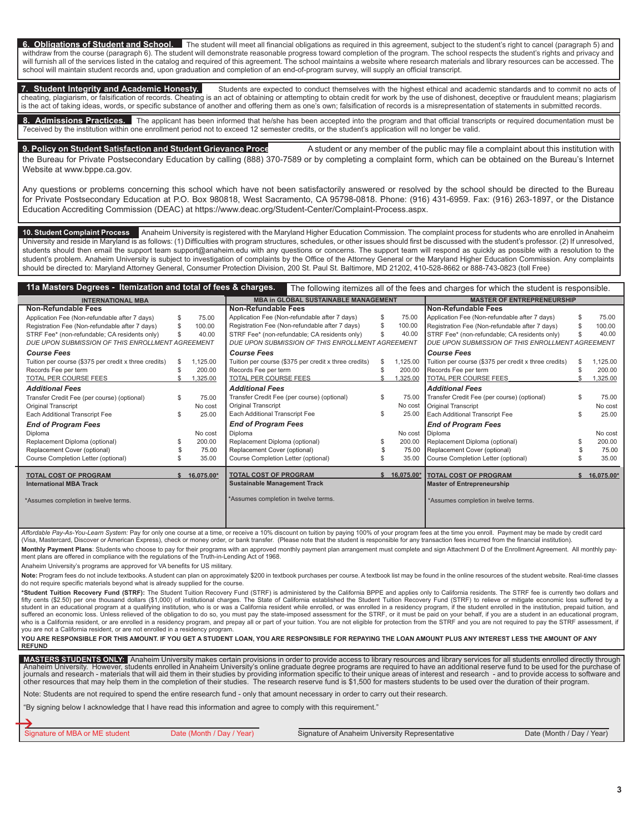**6. Obligations of Student and School.** The student will meet all financial obligations as required in this agreement, subject to the student's right to cancel (paragraph 5) and withdraw from the course (paragraph 6). The student will demonstrate reasonable progress toward completion of the program. The school respects the student's rights and privacy and will furnish all of the services listed in the catalog and required of this agreement. The school maintains a website where research materials and library resources can be accessed. The school will maintain student records and, upon graduation and completion of an end-of-program survey, will supply an official transcript.

**7. Student Integrity and Academic Honesty.** Students are expected to conduct themselves with the highest ethical and academic standards and to commit no acts of cheating, plagiarism, or falsification of records. Cheating is an act of obtaining or attempting to obtain credit for work by the use of dishonest, deceptive or fraudulent means; plagiarism is the act of taking ideas, words, or specific substance of another and offering them as one's own; falsification of records is a misrepresentation of statements in submitted records.

Admissions Practices. The applicant has been informed that he/she has been accepted into the program and that official transcripts or required documentation must be 7eceived by the institution within one enrollment period not to exceed 12 semester credits, or the student's application will no longer be valid.

**9. Policy on Student Satisfaction and Student Grievance Proce** A student or any member of the public may file a complaint about this institution with the Bureau for Private Postsecondary Education by calling (888) 370-7589 or by completing a complaint form, which can be obtained on the Bureau's Internet Website at www.bppe.ca.gov.

Any questions or problems concerning this school which have not been satisfactorily answered or resolved by the school should be directed to the Bureau for Private Postsecondary Education at P.O. Box 980818, West Sacramento, CA 95798-0818. Phone: (916) 431-6959. Fax: (916) 263-1897, or the Distance Education Accrediting Commission (DEAC) at https://www.deac.org/Student-Center/Complaint-Process.aspx.

**10. Student Complaint Process** Anaheim University is registered with the Maryland Higher Education Commission. The complaint process for students who are enrolled in Anaheim University and reside in Maryland is as follows: (1) Difficulties with program structures, schedules, or other issues should first be discussed with the student's professor. (2) If unresolved, students should then email the support team support@anaheim.edu with any questions or concerns. The support team will respond as quickly as possible with a resolution to the student's problem. Anaheim University is subject to investigation of complaints by the Office of the Attorney General or the Maryland Higher Education Commission. Any complaints should be directed to: Maryland Attorney General, Consumer Protection Division, 200 St. Paul St. Baltimore, MD 21202, 410-528-8662 or 888-743-0823 (toll Free)

| 11a Masters Degrees - Itemization and total of fees & charges. |    |                                             |                                             |                                                       |                                   | The following itemizes all of the fees and charges for which the student is responsible. |                                                       |  |            |
|----------------------------------------------------------------|----|---------------------------------------------|---------------------------------------------|-------------------------------------------------------|-----------------------------------|------------------------------------------------------------------------------------------|-------------------------------------------------------|--|------------|
| <b>INTERNATIONAL MBA</b>                                       |    | <b>MBA in GLOBAL SUSTAINABLE MANAGEMENT</b> |                                             |                                                       | <b>MASTER OF ENTREPRENEURSHIP</b> |                                                                                          |                                                       |  |            |
| <b>Non-Refundable Fees</b>                                     |    |                                             | Non-Refundable Fees                         |                                                       |                                   |                                                                                          | Non-Refundable Fees                                   |  |            |
| Application Fee (Non-refundable after 7 days)                  | S  | 75.00                                       |                                             | Application Fee (Non-refundable after 7 days)         | S                                 | 75.00                                                                                    | Application Fee (Non-refundable after 7 days)         |  | 75.00      |
| Registration Fee (Non-refundable after 7 days)                 | £. | 100.00                                      |                                             | Registration Fee (Non-refundable after 7 days)        | S                                 | 100.00                                                                                   | Registration Fee (Non-refundable after 7 days)        |  | 100.00     |
| STRF Fee* (non-refundable; CA residents only)                  |    | 40.00                                       |                                             | STRF Fee* (non-refundable; CA residents only)         |                                   | 40.00                                                                                    | STRF Fee* (non-refundable; CA residents only)         |  | 40.00      |
| DUE UPON SUBMISSION OF THIS ENROLLMENT AGREEMENT               |    |                                             |                                             | DUE UPON SUBMISSION OF THIS ENROLLMENT AGREEMENT      |                                   |                                                                                          | DUE UPON SUBMISSION OF THIS ENROLLMENT AGREEMENT      |  |            |
| <b>Course Fees</b>                                             |    |                                             | <b>Course Fees</b>                          |                                                       |                                   |                                                                                          | <b>Course Fees</b>                                    |  |            |
| Tuition per course (\$375 per credit x three credits)          |    | 1,125.00                                    |                                             | Tuition per course (\$375 per credit x three credits) | S.                                | 1,125.00                                                                                 | Tuition per course (\$375 per credit x three credits) |  | 1,125.00   |
| Records Fee per term                                           |    | 200.00                                      | Records Fee per term                        |                                                       |                                   | 200.00                                                                                   | Records Fee per term                                  |  | 200.00     |
| TOTAL PER COURSE FEES                                          |    | 1,325.00                                    | TOTAL PER COURSE FEES                       |                                                       |                                   | 1,325.00                                                                                 | <b>TOTAL PER COURSE FEES</b>                          |  | .325.00    |
| <b>Additional Fees</b>                                         |    |                                             | <b>Additional Fees</b>                      |                                                       |                                   |                                                                                          | <b>Additional Fees</b>                                |  |            |
| Transfer Credit Fee (per course) (optional)                    | \$ | 75.00                                       | Transfer Credit Fee (per course) (optional) |                                                       | S                                 | 75.00                                                                                    | Transfer Credit Fee (per course) (optional)           |  | 75.00      |
| Original Transcript                                            |    | No cost                                     | Original Transcript                         |                                                       |                                   | No cost                                                                                  | Original Transcript                                   |  | No cost    |
| Each Additional Transcript Fee                                 |    | 25.00                                       | Each Additional Transcript Fee              |                                                       |                                   | 25.00                                                                                    | Each Additional Transcript Fee                        |  | 25.00      |
| <b>End of Program Fees</b>                                     |    |                                             | <b>End of Program Fees</b>                  |                                                       |                                   |                                                                                          | <b>End of Program Fees</b>                            |  |            |
| Diploma                                                        |    | No cost                                     | Diploma                                     |                                                       |                                   | No cost                                                                                  | Diploma                                               |  | No cost    |
| Replacement Diploma (optional)                                 |    | 200.00                                      | Replacement Diploma (optional)              |                                                       | S                                 | 200.00                                                                                   | Replacement Diploma (optional)                        |  | 200.00     |
| Replacement Cover (optional)                                   |    | 75.00                                       | Replacement Cover (optional)                |                                                       |                                   | 75.00                                                                                    | Replacement Cover (optional)                          |  | 75.00      |
| Course Completion Letter (optional)                            |    | 35.00                                       | Course Completion Letter (optional)         |                                                       |                                   | 35.00                                                                                    | Course Completion Letter (optional)                   |  | 35.00      |
| <b>TOTAL COST OF PROGRAM</b>                                   |    | 16,075.00*                                  | <b>TOTAL COST OF PROGRAM</b>                |                                                       |                                   | 16.075.00*                                                                               | <b>TOTAL COST OF PROGRAM</b>                          |  | 16,075.00* |
| <b>International MBA Track</b>                                 |    |                                             | <b>Sustainable Management Track</b>         |                                                       |                                   |                                                                                          | <b>Master of Entrepreneurship</b>                     |  |            |
| *Assumes completion in twelve terms.                           |    |                                             | *Assumes completion in twelve terms.        |                                                       |                                   |                                                                                          | *Assumes completion in twelve terms.                  |  |            |

*Affordable Pay-As-You-Learn System:* Pay for only one course at a time, or receive a 10% discount on tuition by paying 100% of your program fees at the time you enroll. Payment may be made by credit card (Visa, Mastercard, Discover or American Express), check or money order, or bank transfer. (Please note that the student is responsible for any transaction fees incurred from the financial institution).

Monthly Payment Plans: Students who choose to pay for their programs with an approved monthly payment plan arrangement must complete and sign Attachment D of the Enrollment Agreement. All monthly payment plans are offered in compliance with the regulations of the Truth-in-Lending Act of 1968.

Anaheim University's programs are approved for VA benefits for US military.

Note: Program fees do not include textbooks. A student can plan on approximately \$200 in textbook purchases per course. A textbook list may be found in the online resources of the student website. Real-time classes do not require specific materials beyond what is already supplied for the course.

\*Student Tuition Recovery Fund (STRF): The Student Tuition Recovery Fund (STRF) is administered by the California BPPE and applies only to California residents. The STRF fee is currently two dollars and fifty cents (\$2.50) per one thousand dollars (\$1,000) of institutional charges. The State of California established the Student Tuition Recovery Fund (STRF) to relieve or mitigate economic loss suffered by a student in an educational program at a qualifying institution, who is or was a California resident while enrolled, or was enrolled in a residency program, if the student enrolled in the institution, prepaid tuition, and<br>su who is a California resident, or are enrolled in a residency program, and prepay all or part of your tuition. You are not eligible for protection from the STRF and you are not required to pay the STRF assessible. you are not a California resident, or are not enrolled in a residency program.

**YOU ARE RESPONSIBLE FOR THIS AMOUNT. IF YOU GET A STUDENT LOAN, YOU ARE RESPONSIBLE FOR REPAYING THE LOAN AMOUNT PLUS ANY INTEREST LESS THE AMOUNT OF ANY REFUND**

MASTERS STUDENTS ONLY: Anaheim University makes certain provisions in order to provide access to library resources and library services for all students enrolled directly through<br>Anaheim University. However, students enrol

Note: Students are not required to spend the entire research fund - only that amount necessary in order to carry out their research.

"By signing below I acknowledge that I have read this information and agree to comply with this requirement."

Signature of MBA or ME student Date (Month / Day / Year) Signature of Anaheim University Representative Date (Month / Day / Year)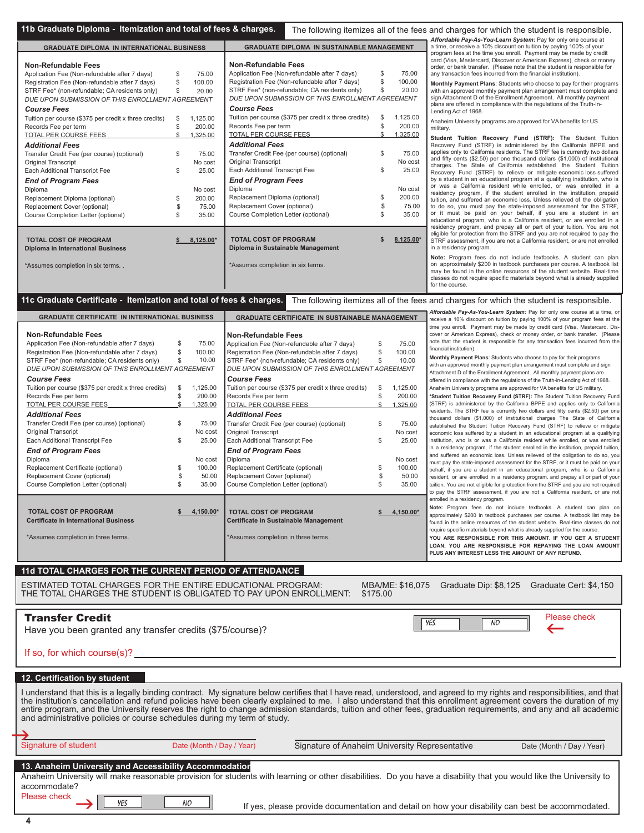| <b>GRADUATE DIPLOMA IN INTERNATIONAL BUSINESS</b>     |    |           | <b>GRADUATE DIPLOMA IN SUSTAINABLE MANAGEMENT</b>     |                   |
|-------------------------------------------------------|----|-----------|-------------------------------------------------------|-------------------|
|                                                       |    |           |                                                       |                   |
| Non-Refundable Fees                                   |    |           | Non-Refundable Fees                                   |                   |
| Application Fee (Non-refundable after 7 days)         | \$ | 75.00     | Application Fee (Non-refundable after 7 days)         | \$<br>75.00       |
| Registration Fee (Non-refundable after 7 days)        | S  | 100.00    | Registration Fee (Non-refundable after 7 days)        | \$<br>100.00      |
| STRF Fee* (non-refundable; CA residents only)         | \$ | 20.00     | STRF Fee* (non-refundable; CA residents only)         | \$<br>20.00       |
| DUE UPON SUBMISSION OF THIS ENROLLMENT AGREEMENT      |    |           | DUE UPON SUBMISSION OF THIS ENROLLMENT AGREEMENT      |                   |
| <b>Course Fees</b>                                    |    |           | <b>Course Fees</b>                                    |                   |
| Tuition per course (\$375 per credit x three credits) | S  | 1.125.00  | Tuition per course (\$375 per credit x three credits) | \$<br>1.125.00    |
| Records Fee per term                                  | \$ | 200.00    | Records Fee per term                                  | \$<br>200.00      |
| TOTAL PER COURSE FEES                                 | \$ | 1,325.00  | <b>TOTAL PER COURSE FEES</b>                          | \$<br>1.325.00    |
| <b>Additional Fees</b>                                |    |           | <b>Additional Fees</b>                                |                   |
| Transfer Credit Fee (per course) (optional)           | S  | 75.00     | Transfer Credit Fee (per course) (optional)           | \$<br>75.00       |
| <b>Original Transcript</b>                            |    | No cost   | <b>Original Transcript</b>                            | No cost           |
| <b>Each Additional Transcript Fee</b>                 | S  | 25.00     | <b>Each Additional Transcript Fee</b>                 | \$<br>25.00       |
|                                                       |    |           |                                                       |                   |
| <b>End of Program Fees</b>                            |    |           | <b>End of Program Fees</b>                            |                   |
| Diploma                                               |    | No cost   | Diploma                                               | No cost           |
| Replacement Diploma (optional)                        | \$ | 200.00    | Replacement Diploma (optional)                        | \$<br>200.00      |
| Replacement Cover (optional)                          | S  | 75.00     | Replacement Cover (optional)                          | \$<br>75.00       |
| Course Completion Letter (optional)                   | \$ | 35.00     | Course Completion Letter (optional)                   | \$<br>35.00       |
|                                                       |    |           |                                                       |                   |
|                                                       |    |           | <b>TOTAL COST OF PROGRAM</b>                          |                   |
| <b>TOTAL COST OF PROGRAM</b>                          |    | 8,125.00* |                                                       | \$<br>$8.125.00*$ |
| Diploma in International Business                     |    |           | Diploma in Sustainable Management                     |                   |
|                                                       |    |           |                                                       |                   |
| *Assumes completion in six terms                      |    |           | *Assumes completion in six terms.                     |                   |
|                                                       |    |           |                                                       |                   |
|                                                       |    |           |                                                       |                   |

11b Graduate Diploma - Itemization and total of fees & charges. The following itemizes all of the fees and charges for which the student is responsible. *Affordable Pay-As-You-Learn System:* Pay for only one course at a time, or receive a 10% discount on tuition by paying 100% of your program fees at the time you enroll. Payment may be made by credit card (Visa, Mastercard, Discover or American Express), check or money order, or bank transfer. (Please note that the student is responsible for any transaction fees incurred from the financial institution).

> **Monthly Payment Plans**: Students who choose to pay for their programs with an approved monthly payment plan arrangement must complete and sign Attachment D of the Enrollment Agreement. All monthly payment plans are offered in compliance with the regulations of the Truth-in-Lending Act of 1968.

Anaheim University programs are approved for VA benefits for US military.

**Student Tuition Recovery Fund (STRF):** The Student Tuition Recovery Fund (STRF) is administered by the California BPPE and applies only to California residents. The STRF fee is currently two dollars and fifty cents (\$2.50) per one thousand dollars (\$1,000) of institutional charges. The State of California established the Student Tuition Recovery Fund (STRF) to relieve or mitigate economic loss suffered by a student in an educational program at a qualifying institution, who is or was a California resident while enrolled, or was enrolled in a residency program, if the student enrolled in the institution, prepaid tuition, and suffered an economic loss. Unless relieved of the obligation, and suffered an economic loss. to do so, you must pay the state-imposed assessment for the STRF or it must be paid on your behalf, if you are a student in an educational program, who is a California resident, or are enrolled in a residency program, and prepay all or part of your tuition. You are not eligible for protection from the STRF and you are not required to pay the STRF assessment, if you are not a California resident, or are not enrolled in a residency program.

**Note:** Program fees do not include textbooks. A student can plan on approximately \$200 in textbook purchases per course. A textbook list may be found in the online resources of the student website. Real-time classes do not require specific materials beyond what is already supplied for the course.

time you enroll. Payment may be made by credit card (Visa, Mastercard, Discover or American Express), check or money order, or bank transfer. (Please note that the student is responsible for any transaction fees incurred from the

Note: Program fees do not include textbooks. A student can plan o approximately \$200 in textbook purchases per course. A textbook list may be found in the online resources of the student website. Real-time classes do not require specific materials beyond what is already supplied for the course. **YOU ARE RESPONSIBLE FOR THIS AMOUNT. IF YOU GET A STUDENT LOAN, YOU ARE RESPONSIBLE FOR REPAYING THE LOAN AMOUNT PLUS ANY INTEREST LESS THE AMOUNT OF ANY REFUND.**

**Monthly Payment Plans**: Students who choose to pay for their programs with an approved monthly payment plan arrangement must complete and sign Attachment D of the Enrollment Agreement. All monthly payment plans are offered in compliance with the regulations of the Truth-in-Lending Act of 1968. Anaheim University programs are approved for VA benefits for US military. **\*Student Tuition Recovery Fund (STRF):** The Student Tuition Recovery Fund (STRF) is administered by the California BPPE and applies only to California residents. The STRF fee is currently two dollars and fifty cents (\$2.50) per one thousand dollars (\$1,000) of institutional charges The State of California established the Student Tuition Recovery Fund (STRF) to relieve or mitigate economic loss suffered by a student in an educational program at a qualifying institution, who is or was a California resident while enrolled, or was enrolled in a residency program, if the student enrolled in the institution, prepaid tuition, and suffered an economic loss. Unless relieved of the obligation to do so, you must pay the state-imposed assessment for the STRF, or it must be paid on your behalf, if you are a student in an educational program, who is a California resident, or are enrolled in a residency program, and prepay all or part of your tuition. You are not eligible for protection from the STRF and you are not required to pay the STRF assessment, if you are not a California resident, or are not

**11c Graduate Certificate - Itemization and total of fees & charges.** The following itemizes all of the fees and charges for which the student is responsible.

**GRADUATE CERTIFICATE IN INTERNATIONAL BUSINESS**

*Affordable Pay-As-You-Learn System:* Pay for only one course at a time, or receive a 10% discount on tuition by paying 100% of your program fees at the **GRADUATE CERTIFICATE IN SUSTAINABLE MANAGEMENT**

financial institution).

enrolled in a residency program.

| Non-Refundable Fees                                   |     |           | <b>Non-Refundable Fees</b>                            |     |           |
|-------------------------------------------------------|-----|-----------|-------------------------------------------------------|-----|-----------|
| Application Fee (Non-refundable after 7 days)         | \$  | 75.00     | Application Fee (Non-refundable after 7 days)         | S   | 75.00     |
| Registration Fee (Non-refundable after 7 days)        | \$  | 100.00    | Registration Fee (Non-refundable after 7 days)        | S   | 100.00    |
| STRF Fee* (non-refundable; CA residents only)         | \$. | 10.00     | STRF Fee* (non-refundable; CA residents only)         | \$. | 10.00     |
| DUE UPON SUBMISSION OF THIS ENROLLMENT AGREEMENT      |     |           | DUE UPON SUBMISSION OF THIS ENROLLMENT AGREEMENT      |     |           |
| <b>Course Fees</b>                                    |     |           | <b>Course Fees</b>                                    |     |           |
| Tuition per course (\$375 per credit x three credits) | \$  | 1.125.00  | Tuition per course (\$375 per credit x three credits) | S   | 1.125.00  |
| Records Fee per term                                  | \$  | 200.00    | Records Fee per term                                  | S   | 200.00    |
| <b>TOTAL PER COURSE FEES</b>                          | \$. | 1.325.00  | TOTAL PER COURSE FEES                                 | \$. | 1.325.00  |
| <b>Additional Fees</b>                                |     |           | <b>Additional Fees</b>                                |     |           |
| Transfer Credit Fee (per course) (optional)           | \$  | 75.00     | Transfer Credit Fee (per course) (optional)           | S   | 75.00     |
| <b>Original Transcript</b>                            |     | No cost   | Original Transcript                                   |     | No cost   |
| Each Additional Transcript Fee                        | S   | 25.00     | <b>Each Additional Transcript Fee</b>                 | S   | 25.00     |
| <b>End of Program Fees</b>                            |     |           | <b>End of Program Fees</b>                            |     |           |
| Diploma                                               |     | No cost   | Diploma                                               |     | No cost   |
| Replacement Certificate (optional)                    | \$  | 100.00    | Replacement Certificate (optional)                    | S   | 100.00    |
| Replacement Cover (optional)                          | \$  | 50.00     | Replacement Cover (optional)                          | S   | 50.00     |
| Course Completion Letter (optional)                   | \$  | 35.00     | Course Completion Letter (optional)                   | S   | 35.00     |
|                                                       |     |           |                                                       |     |           |
| <b>TOTAL COST OF PROGRAM</b>                          |     | 4.150.00* | <b>TOTAL COST OF PROGRAM</b>                          |     | 4.150.00* |
| <b>Certificate in International Business</b>          |     |           | Certificate in Sustainable Management                 |     |           |
| *Assumes completion in three terms.                   |     |           | *Assumes completion in three terms.                   |     |           |
|                                                       |     |           |                                                       |     |           |
|                                                       |     |           |                                                       |     |           |

## 11d TOTAL CHARGES FOR THE CURRENT PERIOD OF ATTENDANCE

ESTIMATED TOTAL CHARGES FOR THE ENTIRE EDUCATIONAL PROGRAM: MBA/ME: \$16,075 Graduate Dip: \$8,125 Graduate Cert: \$4,150<br>THE TOTAL CHARGES THE STUDENT IS OBLIGATED TO PAY UPON ENROLLMENT: \$175.00 THE TOTAL CHARGES THE STUDENT IS OBLIGATED TO PAY UPON ENROLLMENT:

Please check  $\begin{array}{c|c|c|c} \hline \text{V} & \text{N0} & \text{I} & \text{I} & \text{I} \\ \hline \end{array}$ 

Transfer Credit

If an for which course( $s(3)$ 

| If SO, TOT WHICH COUPSERS)?                                                                                                                                                                                                                                                                                                                                                                                                                                                                                                                                                               |
|-------------------------------------------------------------------------------------------------------------------------------------------------------------------------------------------------------------------------------------------------------------------------------------------------------------------------------------------------------------------------------------------------------------------------------------------------------------------------------------------------------------------------------------------------------------------------------------------|
| 12. Certification by student                                                                                                                                                                                                                                                                                                                                                                                                                                                                                                                                                              |
| I understand that this is a legally binding contract. My signature below certifies that I have read, understood, and agreed to my rights and responsibilities, and that<br>the institution's cancellation and refund policies have been clearly explained to me. I also understand that this enrollment agreement covers the duration of my<br>entire program, and the University reserves the right to change admission standards, tuition and other fees, graduation requirements, and any and all academic<br>and administrative policies or course schedules during my term of study. |
|                                                                                                                                                                                                                                                                                                                                                                                                                                                                                                                                                                                           |
| Signature of student<br>Signature of Anaheim University Representative<br>Date (Month / Day / Year)<br>Date (Month / Day / Year)                                                                                                                                                                                                                                                                                                                                                                                                                                                          |
| 13. Anaheim University and Accessibility Accommodation<br>Anaheim University will make reasonable provision for students with learning or other disabilities. Do you have a disability that you would like the University to<br>accommodate?<br>Please check<br>NO.<br>If yes, please provide documentation and detail on how your disability can best be accommodated.                                                                                                                                                                                                                   |

**4**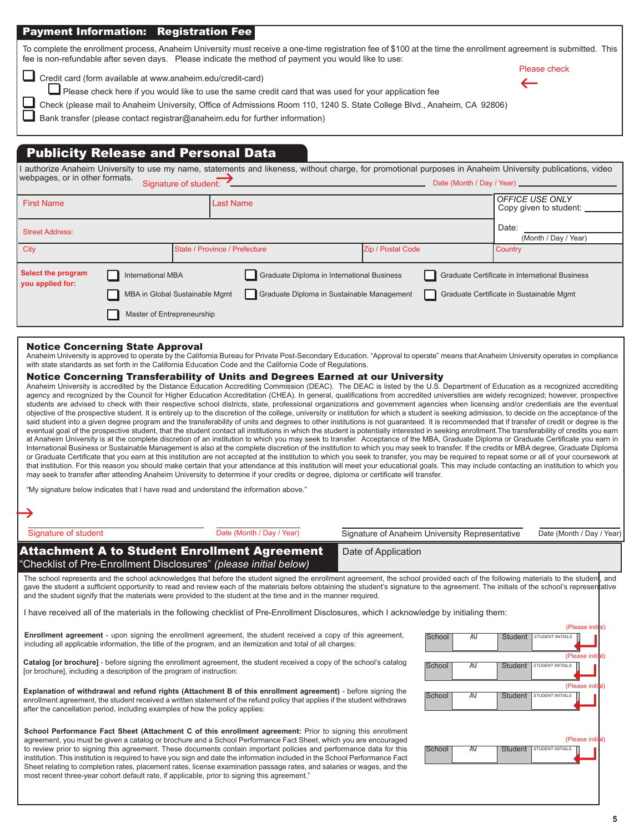## Payment Information: Registration Fee

To complete the enrollment process, Anaheim University must receive a one-time registration fee of \$100 at the time the enrollment agreement is submitted. This fee is non-refundable after seven days. Please indicate the method of payment you would like to use: Please check

 $\leftarrow$ 

Credit card (form available at www.anaheim.edu/credit-card)

Please check here if you would like to use the same credit card that was used for your application fee

Check (please mail to Anaheim University, Office of Admissions Room 110, 1240 S. State College Blvd., Anaheim, CA 92806)

Bank transfer (please contact registrar@anaheim.edu for further information)

# Publicity Release and Personal Data

I authorize Anaheim University to use my name, statements and likeness, without charge, for promotional purposes in Anaheim University publications, video webpages, or in other formats.<br>Webpages, or in other formats. Signa

| <b>First Name</b>                      |                                | <b>Last Name</b>                           |                   | OFFICE USE ONLY<br>Copy given to student:      |
|----------------------------------------|--------------------------------|--------------------------------------------|-------------------|------------------------------------------------|
|                                        |                                |                                            |                   |                                                |
| <b>Street Address:</b>                 |                                |                                            |                   | Date:                                          |
|                                        |                                |                                            |                   | (Month / Day / Year)                           |
| City                                   |                                | State / Province / Prefecture              | Zip / Postal Code | <b>Country</b>                                 |
|                                        |                                |                                            |                   |                                                |
| Select the program<br>you applied for: | <b>International MBA</b>       | Graduate Diploma in International Business |                   | Graduate Certificate in International Business |
|                                        | MBA in Global Sustainable Mgmt | Graduate Diploma in Sustainable Management |                   | Graduate Certificate in Sustainable Mgmt       |
|                                        | Master of Entrepreneurship     |                                            |                   |                                                |

## Notice Concerning State Approval

Anaheim University is approved to operate by the California Bureau for Private Post-Secondary Education. "Approval to operate" means that Anaheim University operates in compliance with state standards as set forth in the California Education Code and the California Code of Regulations.

## Notice Concerning Transferability of Units and Degrees Earned at our University

Anaheim University is accredited by the Distance Education Accrediting Commission (DEAC). The DEAC is listed by the U.S. Department of Education as a recognized accrediting agency and recognized by the Council for Higher Education Accreditation (CHEA). In general, qualifications from accredited universities are widely recognized; however, prospective students are advised to check with their respective school districts, state, professional organizations and government agencies when licensing and/or credentials are the eventual objective of the prospective student. It is entirely up to the discretion of the college, university or institution for which a student is seeking admission, to decide on the acceptance of the said student into a given degree program and the transferability of units and degrees to other institutions is not guaranteed. It is recommended that if transfer of credit or degree is the eventual goal of the prospective student, that the student contact all institutions in which the student is potentially interested in seeking enrollment. The transferability of credits you earn at Anaheim University is at the complete discretion of an institution to which you may seek to transfer. Acceptance of the MBA, Graduate Diploma or Graduate Certificate you earn in International Business or Sustainable Management is also at the complete discretion of the institution to which you may seek to transfer. If the credits or MBA degree, Graduate Diploma or Graduate Certificate that you earn at this institution are not accepted at the institution to which you seek to transfer, you may be required to repeat some or all of your coursework at that institution. For this reason you should make certain that your attendance at this institution will meet your educational goals. This may include contacting an institution to which you may seek to transfer after attending Anaheim University to determine if your credits or degree, diploma or certificate will transfer.

"My signature below indicates that I have read and understand the information above."

| Signature of student                                                         | Date (Month / Day / Year)                                                                                                                                                                                                                                                                                                                                                                                                                                                                          | Signature of Anaheim University Representative |        |    |                | Date (Month / Day / Year) |                  |
|------------------------------------------------------------------------------|----------------------------------------------------------------------------------------------------------------------------------------------------------------------------------------------------------------------------------------------------------------------------------------------------------------------------------------------------------------------------------------------------------------------------------------------------------------------------------------------------|------------------------------------------------|--------|----|----------------|---------------------------|------------------|
|                                                                              | <b>Attachment A to Student Enrollment Agreement</b><br>"Checklist of Pre-Enrollment Disclosures" (please initial below)                                                                                                                                                                                                                                                                                                                                                                            | Date of Application                            |        |    |                |                           |                  |
|                                                                              | The school represents and the school acknowledges that before the student signed the enrollment agreement, the school provided each of the following materials to the student, and<br>gave the student a sufficient opportunity to read and review each of the materials before obtaining the student's signature to the agreement. The initials of the school's representative<br>and the student signify that the materials were provided to the student at the time and in the manner required. |                                                |        |    |                |                           |                  |
|                                                                              | I have received all of the materials in the following checklist of Pre-Enrollment Disclosures, which I acknowledge by initialing them:                                                                                                                                                                                                                                                                                                                                                             |                                                |        |    |                |                           |                  |
|                                                                              |                                                                                                                                                                                                                                                                                                                                                                                                                                                                                                    |                                                |        |    |                |                           | (Please initial) |
|                                                                              | Enrollment agreement - upon signing the enrollment agreement, the student received a copy of this agreement,<br>including all applicable information, the title of the program, and an itemization and total of all charges:                                                                                                                                                                                                                                                                       |                                                | School | AU | Student        | <b>STUDENT INITIALS</b>   |                  |
| [or brochure], including a description of the program of instruction:        | Catalog [or brochure] - before signing the enrollment agreement, the student received a copy of the school's catalog                                                                                                                                                                                                                                                                                                                                                                               |                                                | School | AU | Student        | STUDENT INITIALS          | (Please initial) |
|                                                                              | Explanation of withdrawal and refund rights (Attachment B of this enrollment agreement) - before signing the                                                                                                                                                                                                                                                                                                                                                                                       |                                                |        |    |                |                           | (Please initial) |
| after the cancellation period, including examples of how the policy applies: | enrollment agreement, the student received a written statement of the refund policy that applies if the student withdraws                                                                                                                                                                                                                                                                                                                                                                          |                                                | School | AU | <b>Student</b> | <b>STUDENT INITIALS</b>   |                  |
|                                                                              | School Performance Fact Sheet (Attachment C of this enrollment agreement: Prior to signing this enrollment                                                                                                                                                                                                                                                                                                                                                                                         |                                                |        |    |                |                           |                  |
|                                                                              | agreement, you must be given a catalog or brochure and a School Performance Fact Sheet, which you are encouraged<br>to review prior to signing this agreement. These documents contain important policies and performance data for this<br>institution. This institution is required to have you sign and date the information included in the School Performance Fact                                                                                                                             |                                                | School | AU | Student        | <b>STUDENT INITIALS</b>   | (Please initial) |
|                                                                              | Sheet relating to completion rates, placement rates, license examination passage rates, and salaries or wages, and the<br>most recent three-year cohort default rate, if applicable, prior to signing this agreement."                                                                                                                                                                                                                                                                             |                                                |        |    |                |                           |                  |
|                                                                              |                                                                                                                                                                                                                                                                                                                                                                                                                                                                                                    |                                                |        |    |                |                           |                  |